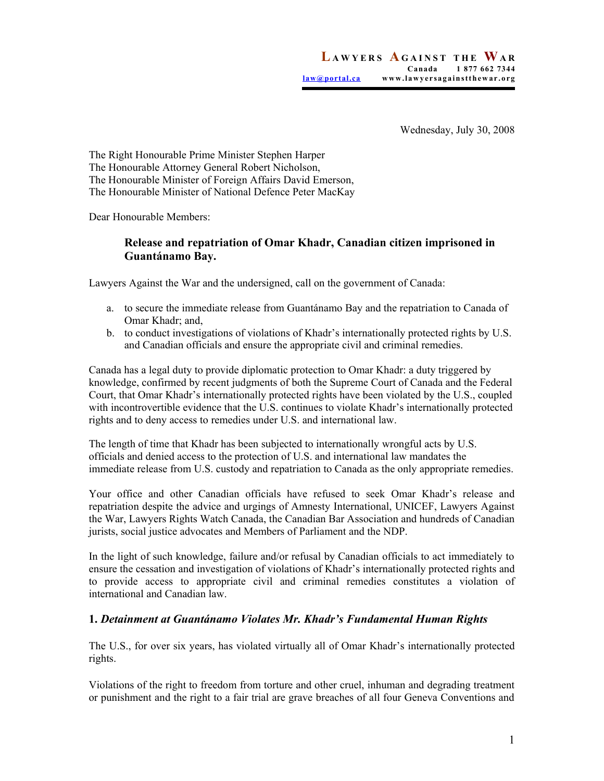Wednesday, July 30, 2008

The Right Honourable Prime Minister Stephen Harper The Honourable Attorney General Robert Nicholson, The Honourable Minister of Foreign Affairs David Emerson, The Honourable Minister of National Defence Peter MacKay

Dear Honourable Members:

### **Release and repatriation of Omar Khadr, Canadian citizen imprisoned in Guantánamo Bay.**

Lawyers Against the War and the undersigned, call on the government of Canada:

- a. to secure the immediate release from Guantánamo Bay and the repatriation to Canada of Omar Khadr; and,
- b. to conduct investigations of violations of Khadr's internationally protected rights by U.S. and Canadian officials and ensure the appropriate civil and criminal remedies.

Canada has a legal duty to provide diplomatic protection to Omar Khadr: a duty triggered by knowledge, confirmed by recent judgments of both the Supreme Court of Canada and the Federal Court, that Omar Khadr's internationally protected rights have been violated by the U.S., coupled with incontrovertible evidence that the U.S. continues to violate Khadr's internationally protected rights and to deny access to remedies under U.S. and international law.

The length of time that Khadr has been subjected to internationally wrongful acts by U.S. officials and denied access to the protection of U.S. and international law mandates the immediate release from U.S. custody and repatriation to Canada as the only appropriate remedies.

Your office and other Canadian officials have refused to seek Omar Khadr's release and repatriation despite the advice and urgings of Amnesty International, UNICEF, Lawyers Against the War, Lawyers Rights Watch Canada, the Canadian Bar Association and hundreds of Canadian jurists, social justice advocates and Members of Parliament and the NDP.

In the light of such knowledge, failure and/or refusal by Canadian officials to act immediately to ensure the cessation and investigation of violations of Khadr's internationally protected rights and to provide access to appropriate civil and criminal remedies constitutes a violation of international and Canadian law.

#### **1.** *Detainment at Guantánamo Violates Mr. Khadr's Fundamental Human Rights*

The U.S., for over six years, has violated virtually all of Omar Khadr's internationally protected rights.

Violations of the right to freedom from torture and other cruel, inhuman and degrading treatment or punishment and the right to a fair trial are grave breaches of all four Geneva Conventions and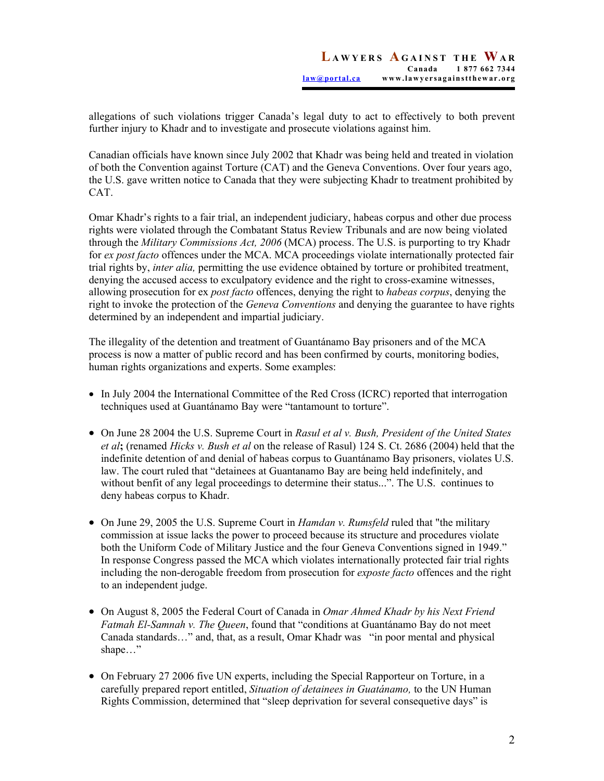allegations of such violations trigger Canada's legal duty to act to effectively to both prevent further injury to Khadr and to investigate and prosecute violations against him.

Canadian officials have known since July 2002 that Khadr was being held and treated in violation of both the Convention against Torture (CAT) and the Geneva Conventions. Over four years ago, the U.S. gave written notice to Canada that they were subjecting Khadr to treatment prohibited by CAT.

Omar Khadr's rights to a fair trial, an independent judiciary, habeas corpus and other due process rights were violated through the Combatant Status Review Tribunals and are now being violated through the *Military Commissions Act, 2006* (MCA) process. The U.S. is purporting to try Khadr for *ex post facto* offences under the MCA. MCA proceedings violate internationally protected fair trial rights by, *inter alia,* permitting the use evidence obtained by torture or prohibited treatment, denying the accused access to exculpatory evidence and the right to cross-examine witnesses, allowing prosecution for ex *post facto* offences, denying the right to *habeas corpus*, denying the right to invoke the protection of the *Geneva Conventions* and denying the guarantee to have rights determined by an independent and impartial judiciary.

The illegality of the detention and treatment of Guantánamo Bay prisoners and of the MCA process is now a matter of public record and has been confirmed by courts, monitoring bodies, human rights organizations and experts. Some examples:

- In July 2004 the International Committee of the Red Cross (ICRC) reported that interrogation techniques used at Guantánamo Bay were "tantamount to torture".
- On June 28 2004 the U.S. Supreme Court in *Rasul et al v. Bush, President of the United States et al***;** (renamed *Hicks v. Bush et al* on the release of Rasul) 124 S. Ct. 2686 (2004) held that the indefinite detention of and denial of habeas corpus to Guantánamo Bay prisoners, violates U.S. law. The court ruled that "detainees at Guantanamo Bay are being held indefinitely, and without benfit of any legal proceedings to determine their status...". The U.S. continues to deny habeas corpus to Khadr.
- On June 29, 2005 the U.S. Supreme Court in *Hamdan v. Rumsfeld* ruled that "the military commission at issue lacks the power to proceed because its structure and procedures violate both the Uniform Code of Military Justice and the four Geneva Conventions signed in 1949." In response Congress passed the MCA which violates internationally protected fair trial rights including the non-derogable freedom from prosecution for *exposte facto* offences and the right to an independent judge.
- On August 8, 2005 the Federal Court of Canada in *Omar Ahmed Khadr by his Next Friend Fatmah El-Samnah v. The Queen*, found that "conditions at Guantánamo Bay do not meet Canada standards…" and, that, as a result, Omar Khadr was "in poor mental and physical shape…"
- On February 27 2006 five UN experts, including the Special Rapporteur on Torture, in a carefully prepared report entitled, *Situation of detainees in Guatánamo,* to the UN Human Rights Commission, determined that "sleep deprivation for several consequetive days" is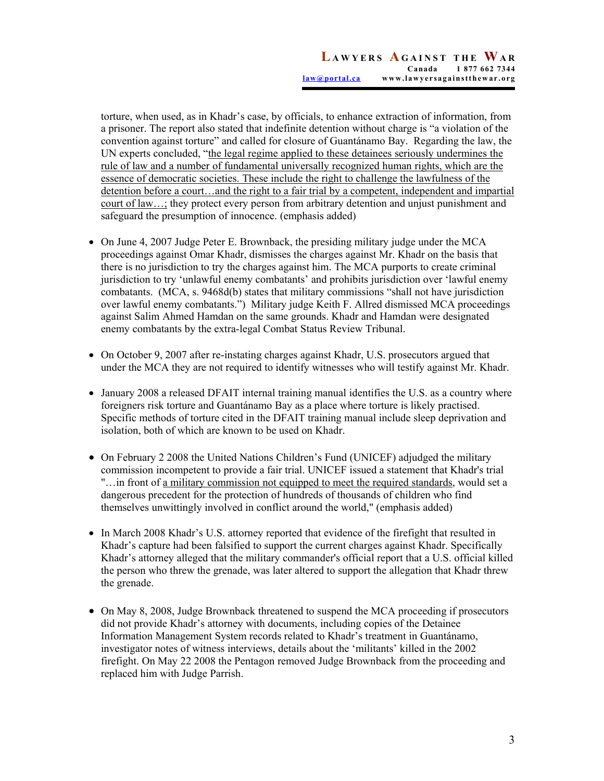torture, when used, as in Khadr's case, by officials, to enhance extraction of information, from a prisoner. The report also stated that indefinite detention without charge is "a violation of the convention against torture" and called for closure of Guantánamo Bay. Regarding the law, the UN experts concluded, "the legal regime applied to these detainees seriously undermines the rule of law and a number of fundamental universally recognized human rights, which are the essence of democratic societies. These include the right to challenge the lawfulness of the detention before a court…and the right to a fair trial by a competent, independent and impartial court of law…; they protect every person from arbitrary detention and unjust punishment and safeguard the presumption of innocence. (emphasis added)

- On June 4, 2007 Judge Peter E. Brownback, the presiding military judge under the MCA proceedings against Omar Khadr, dismisses the charges against Mr. Khadr on the basis that there is no jurisdiction to try the charges against him. The MCA purports to create criminal jurisdiction to try 'unlawful enemy combatants' and prohibits jurisdiction over 'lawful enemy combatants. (MCA, s. 9468d(b) states that military commissions "shall not have jurisdiction over lawful enemy combatants.") Military judge Keith F. Allred dismissed MCA proceedings against Salim Ahmed Hamdan on the same grounds. Khadr and Hamdan were designated enemy combatants by the extra-legal Combat Status Review Tribunal.
- On October 9, 2007 after re-instating charges against Khadr, U.S. prosecutors argued that under the MCA they are not required to identify witnesses who will testify against Mr. Khadr.
- January 2008 a released DFAIT internal training manual identifies the U.S. as a country where foreigners risk torture and Guantánamo Bay as a place where torture is likely practised. Specific methods of torture cited in the DFAIT training manual include sleep deprivation and isolation, both of which are known to be used on Khadr.
- On February 2 2008 the United Nations Children's Fund (UNICEF) adjudged the military commission incompetent to provide a fair trial. UNICEF issued a statement that Khadr's trial "…in front of a military commission not equipped to meet the required standards, would set a dangerous precedent for the protection of hundreds of thousands of children who find themselves unwittingly involved in conflict around the world," (emphasis added)
- In March 2008 Khadr's U.S. attorney reported that evidence of the firefight that resulted in Khadr's capture had been falsified to support the current charges against Khadr. Specifically Khadr's attorney alleged that the military commander's official report that a U.S. official killed the person who threw the grenade, was later altered to support the allegation that Khadr threw the grenade.
- On May 8, 2008, Judge Brownback threatened to suspend the MCA proceeding if prosecutors did not provide Khadr's attorney with documents, including copies of the Detainee Information Management System records related to Khadr's treatment in Guantánamo, investigator notes of witness interviews, details about the 'militants' killed in the 2002 firefight. On May 22 2008 the Pentagon removed Judge Brownback from the proceeding and replaced him with Judge Parrish.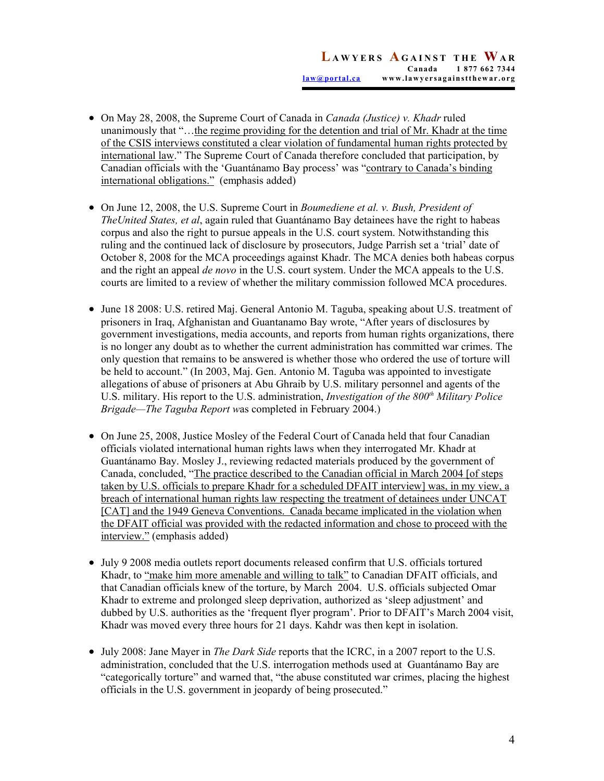- On May 28, 2008, the Supreme Court of Canada in *Canada (Justice) v. Khadr* ruled unanimously that "...the regime providing for the detention and trial of Mr. Khadr at the time of the CSIS interviews constituted a clear violation of fundamental human rights protected by international law." The Supreme Court of Canada therefore concluded that participation, by Canadian officials with the 'Guantánamo Bay process' was "contrary to Canada's binding international obligations." (emphasis added)
- On June 12, 2008, the U.S. Supreme Court in *Boumediene et al. v. Bush, President of TheUnited States, et al*, again ruled that Guantánamo Bay detainees have the right to habeas corpus and also the right to pursue appeals in the U.S. court system. Notwithstanding this ruling and the continued lack of disclosure by prosecutors, Judge Parrish set a 'trial' date of October 8, 2008 for the MCA proceedings against Khadr. The MCA denies both habeas corpus and the right an appeal *de novo* in the U.S. court system. Under the MCA appeals to the U.S. courts are limited to a review of whether the military commission followed MCA procedures.
- June 18 2008: U.S. retired Maj. General Antonio M. Taguba, speaking about U.S. treatment of prisoners in Iraq, Afghanistan and Guantanamo Bay wrote, "After years of disclosures by government investigations, media accounts, and reports from human rights organizations, there is no longer any doubt as to whether the current administration has committed war crimes. The only question that remains to be answered is whether those who ordered the use of torture will be held to account." (In 2003, Maj. Gen. Antonio M. Taguba was appointed to investigate allegations of abuse of prisoners at Abu Ghraib by U.S. military personnel and agents of the U.S. military. His report to the U.S. administration, *Investigation of the 800<sup>th</sup> Military Police Brigade—The Taguba Report w*as completed in February 2004.)
- On June 25, 2008, Justice Mosley of the Federal Court of Canada held that four Canadian officials violated international human rights laws when they interrogated Mr. Khadr at Guantánamo Bay. Mosley J., reviewing redacted materials produced by the government of Canada, concluded, "The practice described to the Canadian official in March 2004 [of steps taken by U.S. officials to prepare Khadr for a scheduled DFAIT interview] was, in my view, a breach of international human rights law respecting the treatment of detainees under UNCAT [CAT] and the 1949 Geneva Conventions. Canada became implicated in the violation when the DFAIT official was provided with the redacted information and chose to proceed with the interview." (emphasis added)
- July 9 2008 media outlets report documents released confirm that U.S. officials tortured Khadr, to "make him more amenable and willing to talk" to Canadian DFAIT officials, and that Canadian officials knew of the torture, by March 2004. U.S. officials subjected Omar Khadr to extreme and prolonged sleep deprivation, authorized as 'sleep adjustment' and dubbed by U.S. authorities as the 'frequent flyer program'. Prior to DFAIT's March 2004 visit, Khadr was moved every three hours for 21 days. Kahdr was then kept in isolation.
- July 2008: Jane Mayer in *The Dark Side* reports that the ICRC, in a 2007 report to the U.S. administration, concluded that the U.S. interrogation methods used at Guantánamo Bay are "categorically torture" and warned that, "the abuse constituted war crimes, placing the highest officials in the U.S. government in jeopardy of being prosecuted."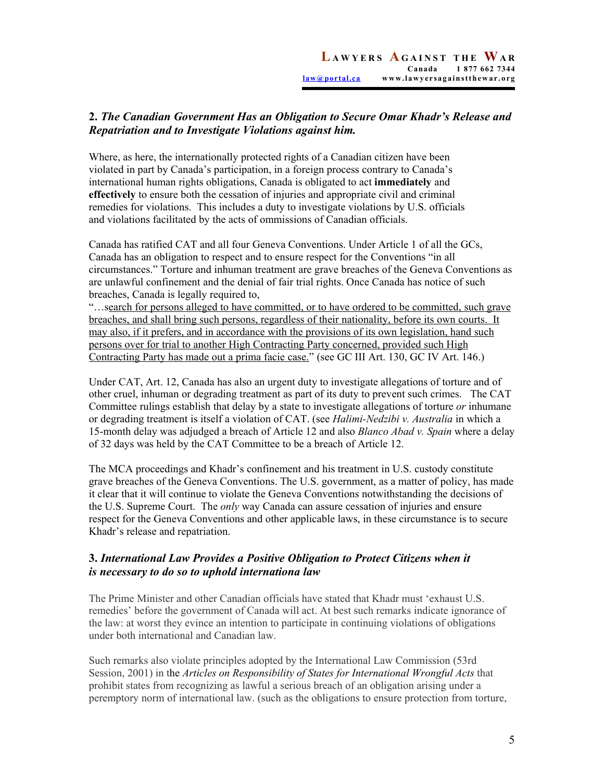# **2.** *The Canadian Government Has an Obligation to Secure Omar Khadr's Release and Repatriation and to Investigate Violations against him.*

Where, as here, the internationally protected rights of a Canadian citizen have been violated in part by Canada's participation, in a foreign process contrary to Canada's international human rights obligations, Canada is obligated to act **immediately** and **effectively** to ensure both the cessation of injuries and appropriate civil and criminal remedies for violations. This includes a duty to investigate violations by U.S. officials and violations facilitated by the acts of ommissions of Canadian officials.

Canada has ratified CAT and all four Geneva Conventions. Under Article 1 of all the GCs, Canada has an obligation to respect and to ensure respect for the Conventions "in all circumstances." Torture and inhuman treatment are grave breaches of the Geneva Conventions as are unlawful confinement and the denial of fair trial rights. Once Canada has notice of such breaches, Canada is legally required to,

"…search for persons alleged to have committed, or to have ordered to be committed, such grave breaches, and shall bring such persons, regardless of their nationality, before its own courts. It may also, if it prefers, and in accordance with the provisions of its own legislation, hand such persons over for trial to another High Contracting Party concerned, provided such High Contracting Party has made out a prima facie case." (see GC III Art. 130, GC IV Art. 146.)

Under CAT, Art. 12, Canada has also an urgent duty to investigate allegations of torture and of other cruel, inhuman or degrading treatment as part of its duty to prevent such crimes. The CAT Committee rulings establish that delay by a state to investigate allegations of torture *or* inhumane or degrading treatment is itself a violation of CAT. (see *Halimi-Nedzibi v. Australia* in which a 15-month delay was adjudged a breach of Article 12 and also *Blanco Abad v. Spain* where a delay of 32 days was held by the CAT Committee to be a breach of Article 12.

The MCA proceedings and Khadr's confinement and his treatment in U.S. custody constitute grave breaches of the Geneva Conventions. The U.S. government, as a matter of policy, has made it clear that it will continue to violate the Geneva Conventions notwithstanding the decisions of the U.S. Supreme Court. The *only* way Canada can assure cessation of injuries and ensure respect for the Geneva Conventions and other applicable laws, in these circumstance is to secure Khadr's release and repatriation.

## **3.** *International Law Provides a Positive Obligation to Protect Citizens when it is necessary to do so to uphold internationa law*

The Prime Minister and other Canadian officials have stated that Khadr must 'exhaust U.S. remedies' before the government of Canada will act. At best such remarks indicate ignorance of the law: at worst they evince an intention to participate in continuing violations of obligations under both international and Canadian law.

Such remarks also violate principles adopted by the International Law Commission (53rd Session, 2001) in the *Articles on Responsibility of States for International Wrongful Acts* that prohibit states from recognizing as lawful a serious breach of an obligation arising under a peremptory norm of international law. (such as the obligations to ensure protection from torture,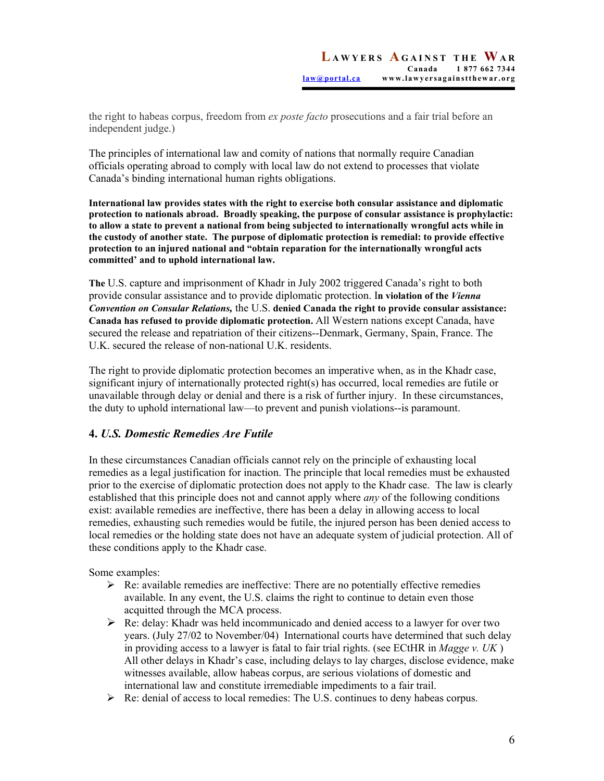the right to habeas corpus, freedom from *ex poste facto* prosecutions and a fair trial before an independent judge.)

The principles of international law and comity of nations that normally require Canadian officials operating abroad to comply with local law do not extend to processes that violate Canada's binding international human rights obligations.

**International law provides states with the right to exercise both consular assistance and diplomatic protection to nationals abroad. Broadly speaking, the purpose of consular assistance is prophylactic: to allow a state to prevent a national from being subjected to internationally wrongful acts while in the custody of another state. The purpose of diplomatic protection is remedial: to provide effective protection to an injured national and "obtain reparation for the internationally wrongful acts committed' and to uphold international law.** 

**The** U.S. capture and imprisonment of Khadr in July 2002 triggered Canada's right to both provide consular assistance and to provide diplomatic protection. I**n violation of the** *Vienna Convention on Consular Relations,* the U.S. **denied Canada the right to provide consular assistance: Canada has refused to provide diplomatic protection.** All Western nations except Canada, have secured the release and repatriation of their citizens--Denmark, Germany, Spain, France. The U.K. secured the release of non-national U.K. residents.

The right to provide diplomatic protection becomes an imperative when, as in the Khadr case, significant injury of internationally protected right(s) has occurred, local remedies are futile or unavailable through delay or denial and there is a risk of further injury. In these circumstances, the duty to uphold international law—to prevent and punish violations--is paramount.

### **4.** *U.S. Domestic Remedies Are Futile*

In these circumstances Canadian officials cannot rely on the principle of exhausting local remedies as a legal justification for inaction. The principle that local remedies must be exhausted prior to the exercise of diplomatic protection does not apply to the Khadr case. The law is clearly established that this principle does not and cannot apply where *any* of the following conditions exist: available remedies are ineffective, there has been a delay in allowing access to local remedies, exhausting such remedies would be futile, the injured person has been denied access to local remedies or the holding state does not have an adequate system of judicial protection. All of these conditions apply to the Khadr case.

Some examples:

- $\triangleright$  Re: available remedies are ineffective: There are no potentially effective remedies available. In any event, the U.S. claims the right to continue to detain even those acquitted through the MCA process.
- $\triangleright$  Re: delay: Khadr was held incommunicado and denied access to a lawyer for over two years. (July 27/02 to November/04) International courts have determined that such delay in providing access to a lawyer is fatal to fair trial rights. (see ECtHR in *Magge v. UK* ) All other delays in Khadr's case, including delays to lay charges, disclose evidence, make witnesses available, allow habeas corpus, are serious violations of domestic and international law and constitute irremediable impediments to a fair trail.
- $\triangleright$  Re: denial of access to local remedies: The U.S. continues to deny habeas corpus.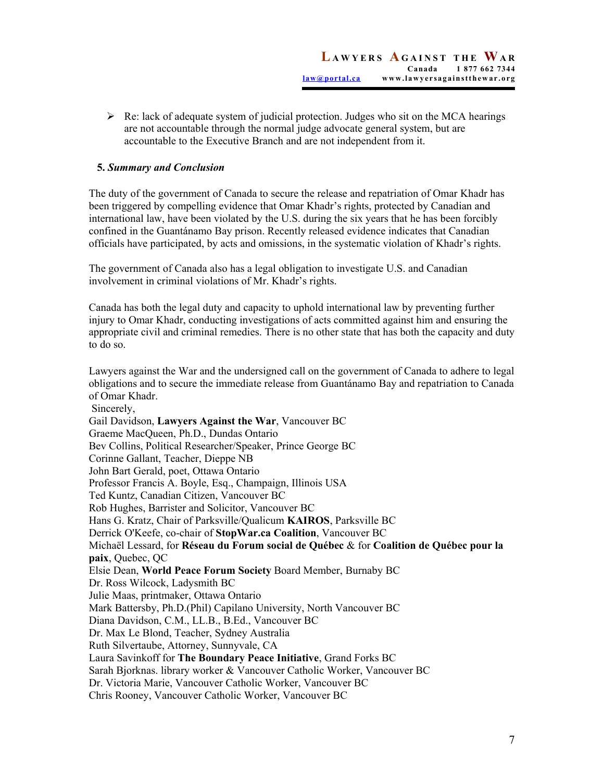$\triangleright$  Re: lack of adequate system of judicial protection. Judges who sit on the MCA hearings are not accountable through the normal judge advocate general system, but are accountable to the Executive Branch and are not independent from it.

### **5.** *Summary and Conclusion*

The duty of the government of Canada to secure the release and repatriation of Omar Khadr has been triggered by compelling evidence that Omar Khadr's rights, protected by Canadian and international law, have been violated by the U.S. during the six years that he has been forcibly confined in the Guantánamo Bay prison. Recently released evidence indicates that Canadian officials have participated, by acts and omissions, in the systematic violation of Khadr's rights.

The government of Canada also has a legal obligation to investigate U.S. and Canadian involvement in criminal violations of Mr. Khadr's rights.

Canada has both the legal duty and capacity to uphold international law by preventing further injury to Omar Khadr, conducting investigations of acts committed against him and ensuring the appropriate civil and criminal remedies. There is no other state that has both the capacity and duty to do so.

Lawyers against the War and the undersigned call on the government of Canada to adhere to legal obligations and to secure the immediate release from Guantánamo Bay and repatriation to Canada of Omar Khadr. Sincerely, Gail Davidson, **Lawyers Against the War**, Vancouver BC Graeme MacQueen, Ph.D., Dundas Ontario Bev Collins, Political Researcher/Speaker, Prince George BC Corinne Gallant, Teacher, Dieppe NB John Bart Gerald, poet, Ottawa Ontario Professor Francis A. Boyle, Esq., Champaign, Illinois USA Ted Kuntz, Canadian Citizen, Vancouver BC Rob Hughes, Barrister and Solicitor, Vancouver BC Hans G. Kratz, Chair of Parksville/Qualicum **KAIROS**, Parksville BC Derrick O'Keefe, co-chair of **StopWar.ca Coalition**, Vancouver BC Michaël Lessard, for **Réseau du Forum social de Québec** & for **Coalition de Québec pour la paix**, Quebec, QC Elsie Dean, **World Peace Forum Society** Board Member, Burnaby BC Dr. Ross Wilcock, Ladysmith BC Julie Maas, printmaker, Ottawa Ontario Mark Battersby, Ph.D.(Phil) Capilano University, North Vancouver BC Diana Davidson, C.M., LL.B., B.Ed., Vancouver BC Dr. Max Le Blond, Teacher, Sydney Australia Ruth Silvertaube, Attorney, Sunnyvale, CA Laura Savinkoff for **The Boundary Peace Initiative**, Grand Forks BC Sarah Bjorknas. library worker & Vancouver Catholic Worker, Vancouver BC Dr. Victoria Marie, Vancouver Catholic Worker, Vancouver BC

Chris Rooney, Vancouver Catholic Worker, Vancouver BC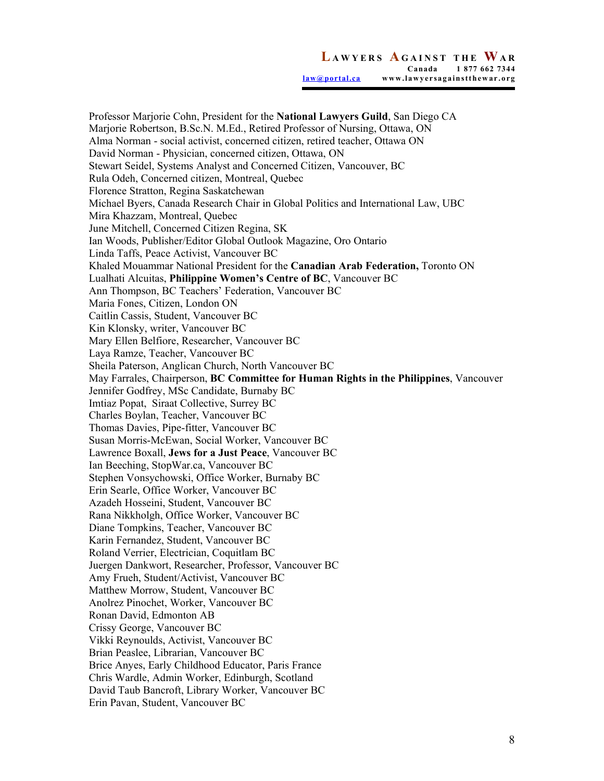Professor Marjorie Cohn, President for the **National Lawyers Guild**, San Diego CA Marjorie Robertson, B.Sc.N. M.Ed., Retired Professor of Nursing, Ottawa, ON Alma Norman - social activist, concerned citizen, retired teacher, Ottawa ON David Norman - Physician, concerned citizen, Ottawa, ON Stewart Seidel, Systems Analyst and Concerned Citizen, Vancouver, BC Rula Odeh, Concerned citizen, Montreal, Quebec Florence Stratton, Regina Saskatchewan Michael Byers, Canada Research Chair in Global Politics and International Law, UBC Mira Khazzam, Montreal, Quebec June Mitchell, Concerned Citizen Regina, SK Ian Woods, Publisher/Editor Global Outlook Magazine, Oro Ontario Linda Taffs, Peace Activist, Vancouver BC Khaled Mouammar National President for the **Canadian Arab Federation,** Toronto ON Lualhati Alcuitas, **Philippine Women's Centre of BC**, Vancouver BC Ann Thompson, BC Teachers' Federation, Vancouver BC Maria Fones, Citizen, London ON Caitlin Cassis, Student, Vancouver BC Kin Klonsky, writer, Vancouver BC Mary Ellen Belfiore, Researcher, Vancouver BC Laya Ramze, Teacher, Vancouver BC Sheila Paterson, Anglican Church, North Vancouver BC May Farrales, Chairperson, **BC Committee for Human Rights in the Philippines**, Vancouver Jennifer Godfrey, MSc Candidate, Burnaby BC Imtiaz Popat, Siraat Collective, Surrey BC Charles Boylan, Teacher, Vancouver BC Thomas Davies, Pipe-fitter, Vancouver BC Susan Morris-McEwan, Social Worker, Vancouver BC Lawrence Boxall, **Jews for a Just Peace**, Vancouver BC Ian Beeching, StopWar.ca, Vancouver BC Stephen Vonsychowski, Office Worker, Burnaby BC Erin Searle, Office Worker, Vancouver BC Azadeh Hosseini, Student, Vancouver BC Rana Nikkholgh, Office Worker, Vancouver BC Diane Tompkins, Teacher, Vancouver BC Karin Fernandez, Student, Vancouver BC Roland Verrier, Electrician, Coquitlam BC Juergen Dankwort, Researcher, Professor, Vancouver BC Amy Frueh, Student/Activist, Vancouver BC Matthew Morrow, Student, Vancouver BC Anolrez Pinochet, Worker, Vancouver BC Ronan David, Edmonton AB Crissy George, Vancouver BC Vikki Reynoulds, Activist, Vancouver BC Brian Peaslee, Librarian, Vancouver BC Brice Anyes, Early Childhood Educator, Paris France Chris Wardle, Admin Worker, Edinburgh, Scotland David Taub Bancroft, Library Worker, Vancouver BC Erin Pavan, Student, Vancouver BC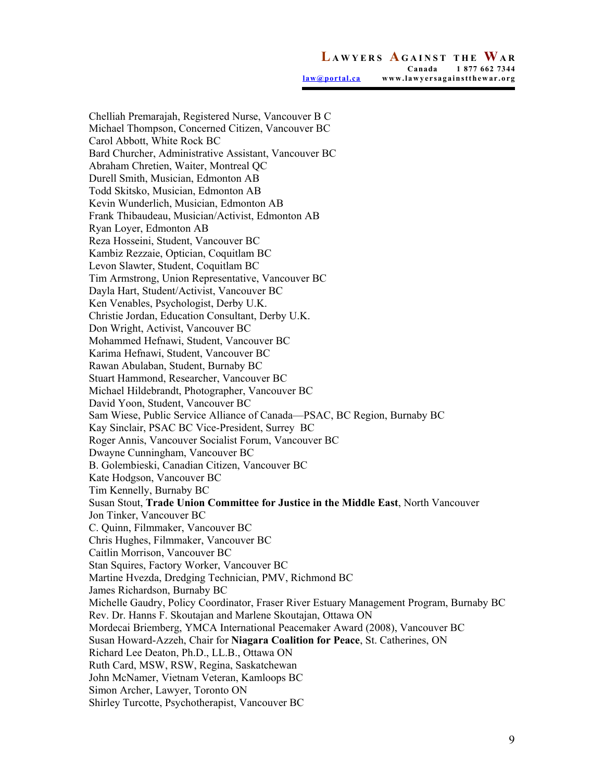**L AWYERS A GAINST THE WA R Canada 1 877 662 7344 law@portal.ca www.lawyersagainstthewar.org**

Chelliah Premarajah, Registered Nurse, Vancouver B C Michael Thompson, Concerned Citizen, Vancouver BC Carol Abbott, White Rock BC Bard Churcher, Administrative Assistant, Vancouver BC Abraham Chretien, Waiter, Montreal QC Durell Smith, Musician, Edmonton AB Todd Skitsko, Musician, Edmonton AB Kevin Wunderlich, Musician, Edmonton AB Frank Thibaudeau, Musician/Activist, Edmonton AB Ryan Loyer, Edmonton AB Reza Hosseini, Student, Vancouver BC Kambiz Rezzaie, Optician, Coquitlam BC Levon Slawter, Student, Coquitlam BC Tim Armstrong, Union Representative, Vancouver BC Dayla Hart, Student/Activist, Vancouver BC Ken Venables, Psychologist, Derby U.K. Christie Jordan, Education Consultant, Derby U.K. Don Wright, Activist, Vancouver BC Mohammed Hefnawi, Student, Vancouver BC Karima Hefnawi, Student, Vancouver BC Rawan Abulaban, Student, Burnaby BC Stuart Hammond, Researcher, Vancouver BC Michael Hildebrandt, Photographer, Vancouver BC David Yoon, Student, Vancouver BC Sam Wiese, Public Service Alliance of Canada—PSAC, BC Region, Burnaby BC Kay Sinclair, PSAC BC Vice-President, Surrey BC Roger Annis, Vancouver Socialist Forum, Vancouver BC Dwayne Cunningham, Vancouver BC B. Golembieski, Canadian Citizen, Vancouver BC Kate Hodgson, Vancouver BC Tim Kennelly, Burnaby BC Susan Stout, **Trade Union Committee for Justice in the Middle East**, North Vancouver Jon Tinker, Vancouver BC C. Quinn, Filmmaker, Vancouver BC Chris Hughes, Filmmaker, Vancouver BC Caitlin Morrison, Vancouver BC Stan Squires, Factory Worker, Vancouver BC Martine Hvezda, Dredging Technician, PMV, Richmond BC James Richardson, Burnaby BC Michelle Gaudry, Policy Coordinator, Fraser River Estuary Management Program, Burnaby BC Rev. Dr. Hanns F. Skoutajan and Marlene Skoutajan, Ottawa ON Mordecai Briemberg, YMCA International Peacemaker Award (2008), Vancouver BC Susan Howard-Azzeh, Chair for **Niagara Coalition for Peace**, St. Catherines, ON Richard Lee Deaton, Ph.D., LL.B., Ottawa ON Ruth Card, MSW, RSW, Regina, Saskatchewan John McNamer, Vietnam Veteran, Kamloops BC Simon Archer, Lawyer, Toronto ON Shirley Turcotte, Psychotherapist, Vancouver BC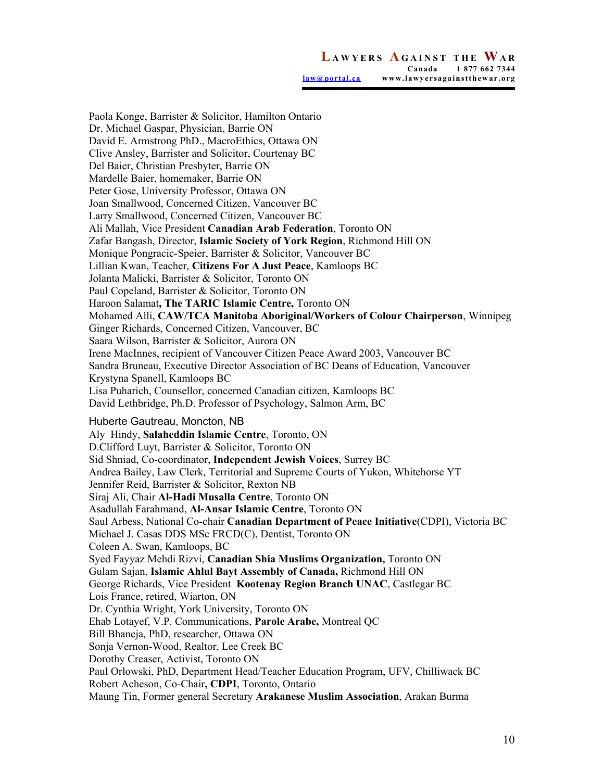**L AWYERS A GAINST THE WA R Canada 1 877 662 7344 law@portal.ca www.lawyersagainstthewar.org**

Paola Konge, Barrister & Solicitor, Hamilton Ontario Dr. Michael Gaspar, Physician, Barrie ON David E. Armstrong PhD., MacroEthics, Ottawa ON Clive Ansley, Barrister and Solicitor, Courtenay BC Del Baier, Christian Presbyter, Barrie ON Mardelle Baier, homemaker, Barrie ON Peter Gose, University Professor, Ottawa ON Joan Smallwood, Concerned Citizen, Vancouver BC Larry Smallwood, Concerned Citizen, Vancouver BC Ali Mallah, Vice President **Canadian Arab Federation**, Toronto ON Zafar Bangash, Director, **Islamic Society of York Region**, Richmond Hill ON Monique Pongracic-Speier, Barrister & Solicitor, Vancouver BC Lillian Kwan, Teacher, **Citizens For A Just Peace**, Kamloops BC Jolanta Malicki, Barrister & Solicitor, Toronto ON Paul Copeland, Barrister & Solicitor, Toronto ON Haroon Salamat**, The TARIC Islamic Centre,** Toronto ON Mohamed Alli, **CAW/TCA Manitoba Aboriginal/Workers of Colour Chairperson**, Winnipeg Ginger Richards, Concerned Citizen, Vancouver, BC Saara Wilson, Barrister & Solicitor, Aurora ON Irene MacInnes, recipient of Vancouver Citizen Peace Award 2003, Vancouver BC Sandra Bruneau, Executive Director Association of BC Deans of Education, Vancouver Krystyna Spanell, Kamloops BC Lisa Puharich, Counsellor, concerned Canadian citizen, Kamloops BC David Lethbridge, Ph.D. Professor of Psychology, Salmon Arm, BC Huberte Gautreau, Moncton, NB Aly Hindy, **Salaheddin Islamic Centre**, Toronto, ON D.Clifford Luyt, Barrister & Solicitor, Toronto ON Sid Shniad, Co-coordinator, **Independent Jewish Voices**, Surrey BC Andrea Bailey, Law Clerk, Territorial and Supreme Courts of Yukon, Whitehorse YT Jennifer Reid, Barrister & Solicitor, Rexton NB Siraj Ali, Chair **Al-Hadi Musalla Centre**, Toronto ON Asadullah Farahmand, **Al-Ansar Islamic Centre**, Toronto ON Saul Arbess, National Co-chair **Canadian Department of Peace Initiative**(CDPI), Victoria BC Michael J. Casas DDS MSc FRCD(C), Dentist, Toronto ON Coleen A. Swan, Kamloops, BC Syed Fayyaz Mehdi Rizvi, **Canadian Shia Muslims Organization,** Toronto ON Gulam Sajan, **Islamic Ahlul Bayt Assembly of Canada,** Richmond Hill ON George Richards, Vice President **Kootenay Region Branch UNAC**, Castlegar BC Lois France, retired, Wiarton, ON Dr. Cynthia Wright, York University, Toronto ON Ehab Lotayef, V.P. Communications, **Parole Arabe,** Montreal QC Bill Bhaneja, PhD, researcher, Ottawa ON Sonja Vernon-Wood, Realtor, Lee Creek BC Dorothy Creaser, Activist, Toronto ON Paul Orlowski, PhD, Department Head/Teacher Education Program, UFV, Chilliwack BC Robert Acheson, Co-Chair**, CDPI**, Toronto, Ontario Maung Tin, Former general Secretary **Arakanese Muslim Association**, Arakan Burma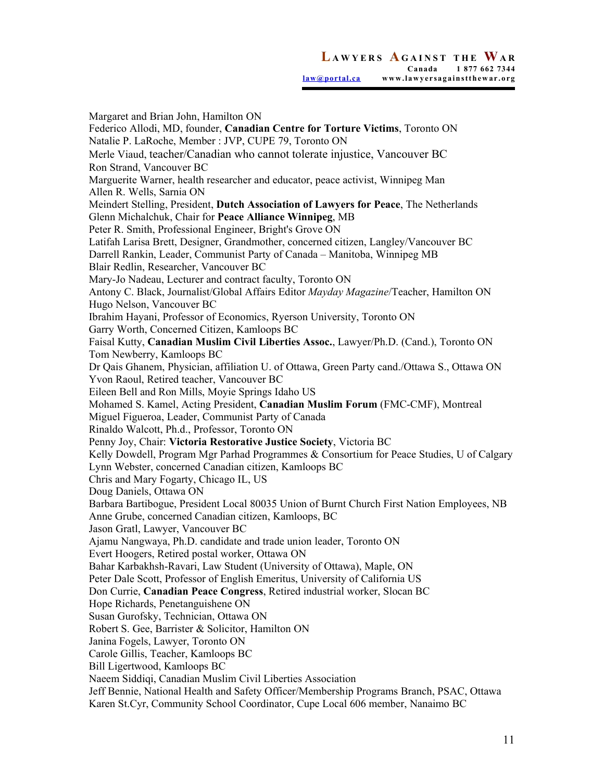Margaret and Brian John, Hamilton ON Federico Allodi, MD, founder, **Canadian Centre for Torture Victims**, Toronto ON Natalie P. LaRoche, Member : JVP, CUPE 79, Toronto ON Merle Viaud, teacher/Canadian who cannot tolerate injustice, Vancouver BC Ron Strand, Vancouver BC Marguerite Warner, health researcher and educator, peace activist, Winnipeg Man Allen R. Wells, Sarnia ON Meindert Stelling, President, **Dutch Association of Lawyers for Peace**, The Netherlands Glenn Michalchuk, Chair for **Peace Alliance Winnipeg**, MB Peter R. Smith, Professional Engineer, Bright's Grove ON Latifah Larisa Brett, Designer, Grandmother, concerned citizen, Langley/Vancouver BC Darrell Rankin, Leader, Communist Party of Canada – Manitoba, Winnipeg MB Blair Redlin, Researcher, Vancouver BC Mary-Jo Nadeau, Lecturer and contract faculty, Toronto ON Antony C. Black, Journalist/Global Affairs Editor *Mayday Magazine*/Teacher, Hamilton ON Hugo Nelson, Vancouver BC Ibrahim Hayani, Professor of Economics, Ryerson University, Toronto ON Garry Worth, Concerned Citizen, Kamloops BC Faisal Kutty, **Canadian Muslim Civil Liberties Assoc.**, Lawyer/Ph.D. (Cand.), Toronto ON Tom Newberry, Kamloops BC Dr Qais Ghanem, Physician, affiliation U. of Ottawa, Green Party cand./Ottawa S., Ottawa ON Yvon Raoul, Retired teacher, Vancouver BC Eileen Bell and Ron Mills, Moyie Springs Idaho US Mohamed S. Kamel, Acting President, **Canadian Muslim Forum** (FMC-CMF), Montreal Miguel Figueroa, Leader, Communist Party of Canada Rinaldo Walcott, Ph.d., Professor, Toronto ON Penny Joy, Chair: **Victoria Restorative Justice Society**, Victoria BC Kelly Dowdell, Program Mgr Parhad Programmes & Consortium for Peace Studies, U of Calgary Lynn Webster, concerned Canadian citizen, Kamloops BC Chris and Mary Fogarty, Chicago IL, US Doug Daniels, Ottawa ON Barbara Bartibogue, President Local 80035 Union of Burnt Church First Nation Employees, NB Anne Grube, concerned Canadian citizen, Kamloops, BC Jason Gratl, Lawyer, Vancouver BC Ajamu Nangwaya, Ph.D. candidate and trade union leader, Toronto ON Evert Hoogers, Retired postal worker, Ottawa ON Bahar Karbakhsh-Ravari, Law Student (University of Ottawa), Maple, ON Peter Dale Scott, Professor of English Emeritus, University of California US Don Currie, **Canadian Peace Congress**, Retired industrial worker, Slocan BC Hope Richards, Penetanguishene ON Susan Gurofsky, Technician, Ottawa ON Robert S. Gee, Barrister & Solicitor, Hamilton ON Janina Fogels, Lawyer, Toronto ON Carole Gillis, Teacher, Kamloops BC Bill Ligertwood, Kamloops BC Naeem Siddiqi, Canadian Muslim Civil Liberties Association Jeff Bennie, National Health and Safety Officer/Membership Programs Branch, PSAC, Ottawa Karen St.Cyr, Community School Coordinator, Cupe Local 606 member, Nanaimo BC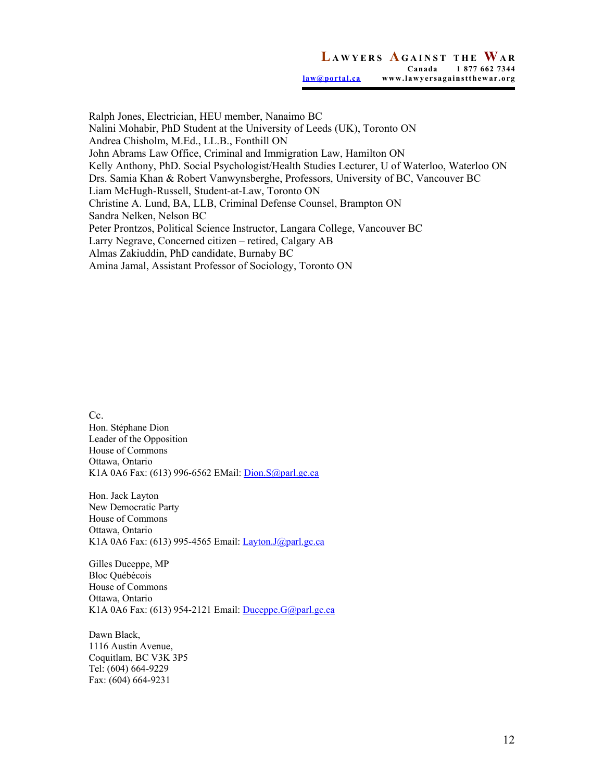Ralph Jones, Electrician, HEU member, Nanaimo BC Nalini Mohabir, PhD Student at the University of Leeds (UK), Toronto ON Andrea Chisholm, M.Ed., LL.B., Fonthill ON John Abrams Law Office, Criminal and Immigration Law, Hamilton ON Kelly Anthony, PhD. Social Psychologist/Health Studies Lecturer, U of Waterloo, Waterloo ON Drs. Samia Khan & Robert Vanwynsberghe, Professors, University of BC, Vancouver BC Liam McHugh-Russell, Student-at-Law, Toronto ON Christine A. Lund, BA, LLB, Criminal Defense Counsel, Brampton ON Sandra Nelken, Nelson BC Peter Prontzos, Political Science Instructor, Langara College, Vancouver BC Larry Negrave, Concerned citizen – retired, Calgary AB Almas Zakiuddin, PhD candidate, Burnaby BC Amina Jamal, Assistant Professor of Sociology, Toronto ON

Cc. Hon. Stéphane Dion Leader of the Opposition House of Commons Ottawa, Ontario K1A 0A6 Fax: (613) 996-6562 EMail: Dion.S@parl.gc.ca

Hon. Jack Layton New Democratic Party House of Commons Ottawa, Ontario K1A 0A6 Fax: (613) 995-4565 Email: Layton.J@parl.gc.ca

Gilles Duceppe, MP Bloc Québécois House of Commons Ottawa, Ontario K1A 0A6 Fax: (613) 954-2121 Email: Duceppe.G@parl.gc.ca

Dawn Black, 1116 Austin Avenue, Coquitlam, BC V3K 3P5 Tel: (604) 664-9229 Fax: (604) 664-9231